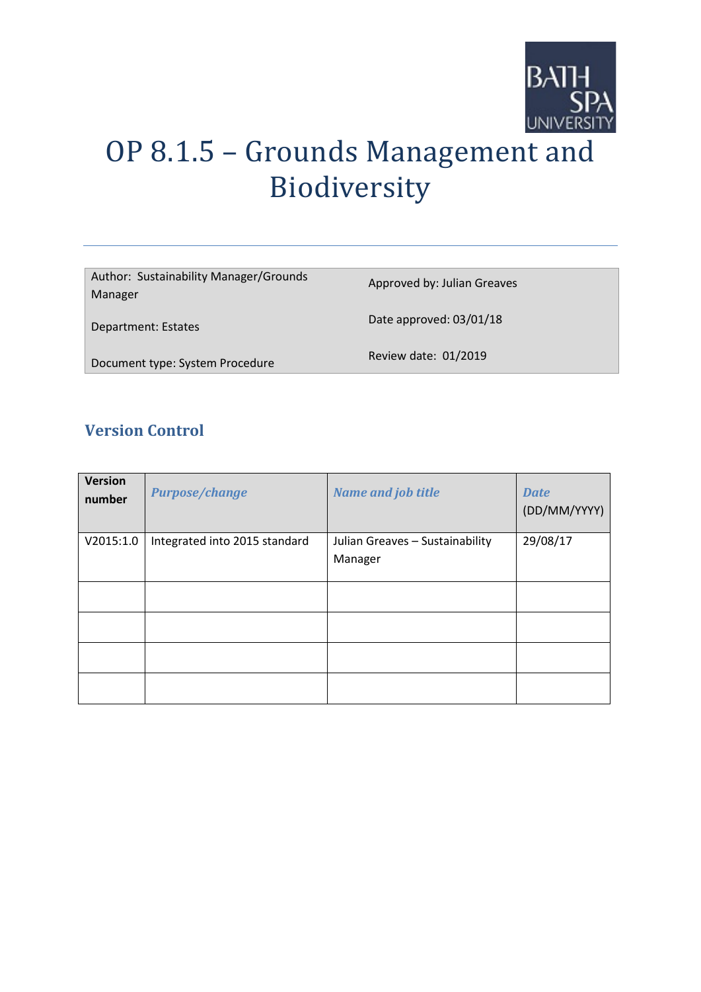

# OP 8.1.5 – Grounds Management and Biodiversity

| Author: Sustainability Manager/Grounds<br>Manager | Approved by: Julian Greaves |
|---------------------------------------------------|-----------------------------|
| Department: Estates                               | Date approved: 03/01/18     |
| Document type: System Procedure                   | Review date: 01/2019        |

# **Version Control**

| <b>Version</b><br>number | <b>Purpose/change</b>         | <b>Name and job title</b>                  | <b>Date</b><br>(DD/MM/YYYY) |
|--------------------------|-------------------------------|--------------------------------------------|-----------------------------|
| V2015:1.0                | Integrated into 2015 standard | Julian Greaves - Sustainability<br>Manager | 29/08/17                    |
|                          |                               |                                            |                             |
|                          |                               |                                            |                             |
|                          |                               |                                            |                             |
|                          |                               |                                            |                             |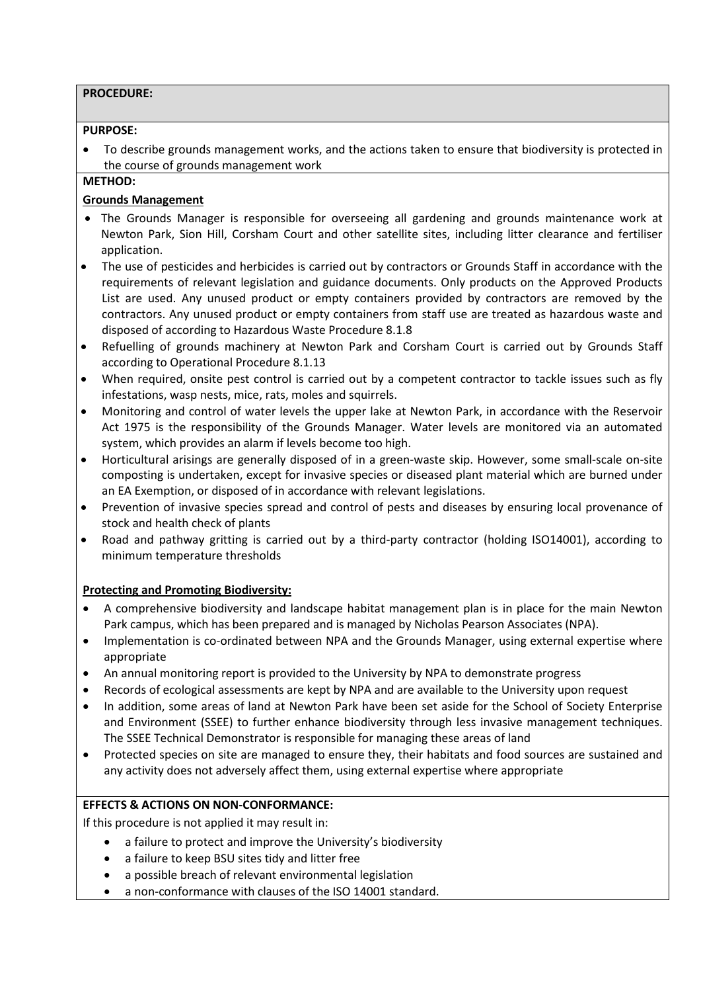#### **PROCEDURE:**

#### **PURPOSE:**

• To describe grounds management works, and the actions taken to ensure that biodiversity is protected in the course of grounds management work

## **METHOD:**

## **Grounds Management**

- The Grounds Manager is responsible for overseeing all gardening and grounds maintenance work at Newton Park, Sion Hill, Corsham Court and other satellite sites, including litter clearance and fertiliser application.
- The use of pesticides and herbicides is carried out by contractors or Grounds Staff in accordance with the requirements of relevant legislation and guidance documents. Only products on the Approved Products List are used. Any unused product or empty containers provided by contractors are removed by the contractors. Any unused product or empty containers from staff use are treated as hazardous waste and disposed of according to Hazardous Waste Procedure 8.1.8
- Refuelling of grounds machinery at Newton Park and Corsham Court is carried out by Grounds Staff according to Operational Procedure 8.1.13
- When required, onsite pest control is carried out by a competent contractor to tackle issues such as fly infestations, wasp nests, mice, rats, moles and squirrels.
- Monitoring and control of water levels the upper lake at Newton Park, in accordance with the Reservoir Act 1975 is the responsibility of the Grounds Manager. Water levels are monitored via an automated system, which provides an alarm if levels become too high.
- Horticultural arisings are generally disposed of in a green-waste skip. However, some small-scale on-site composting is undertaken, except for invasive species or diseased plant material which are burned under an EA Exemption, or disposed of in accordance with relevant legislations.
- Prevention of invasive species spread and control of pests and diseases by ensuring local provenance of stock and health check of plants
- Road and pathway gritting is carried out by a third-party contractor (holding ISO14001), according to minimum temperature thresholds

## **Protecting and Promoting Biodiversity:**

- A comprehensive biodiversity and landscape habitat management plan is in place for the main Newton Park campus, which has been prepared and is managed by Nicholas Pearson Associates (NPA).
- Implementation is co-ordinated between NPA and the Grounds Manager, using external expertise where appropriate
- An annual monitoring report is provided to the University by NPA to demonstrate progress
- Records of ecological assessments are kept by NPA and are available to the University upon request
- In addition, some areas of land at Newton Park have been set aside for the School of Society Enterprise and Environment (SSEE) to further enhance biodiversity through less invasive management techniques. The SSEE Technical Demonstrator is responsible for managing these areas of land
- Protected species on site are managed to ensure they, their habitats and food sources are sustained and any activity does not adversely affect them, using external expertise where appropriate

## **EFFECTS & ACTIONS ON NON-CONFORMANCE:**

If this procedure is not applied it may result in:

- a failure to protect and improve the University's biodiversity
- a failure to keep BSU sites tidy and litter free
- a possible breach of relevant environmental legislation
- a non-conformance with clauses of the ISO 14001 standard.